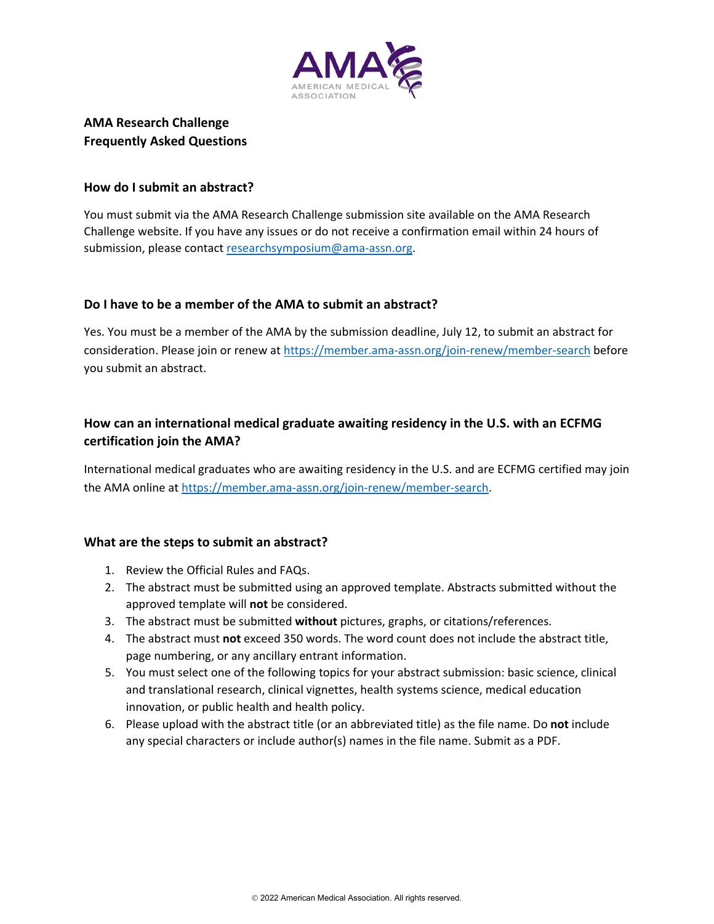

# **AMA Research Challenge Frequently Asked Questions**

# **How do I submit an abstract?**

You must submit via the AMA Research Challenge submission site available on the AMA Research Challenge website. If you have any issues or do not receive a confirmation email within 24 hours of submission, please contact [researchsymposium@ama-assn.org.](mailto:researchsymposium@ama-assn.org)

## **Do I have to be a member of the AMA to submit an abstract?**

Yes. You must be a member of the AMA by the submission deadline, July 12, to submit an abstract for consideration. Please join or renew at<https://member.ama-assn.org/join-renew/member-search> before you submit an abstract.

# **How can an international medical graduate awaiting residency in the U.S. with an ECFMG certification join the AMA?**

International medical graduates who are awaiting residency in the U.S. and are ECFMG certified may join the AMA online at [https://member.ama-assn.org/join-renew/member-search.](https://member.ama-assn.org/join-renew/member-search)

# **What are the steps to submit an abstract?**

- 1. Review the Official Rules and FAQs.
- 2. The abstract must be submitted using an approved template. Abstracts submitted without the approved template will **not** be considered.
- 3. The abstract must be submitted **without** pictures, graphs, or citations/references.
- 4. The abstract must **not** exceed 350 words. The word count does not include the abstract title, page numbering, or any ancillary entrant information.
- 5. You must select one of the following topics for your abstract submission: basic science, clinical and translational research, clinical vignettes, health systems science, medical education innovation, or public health and health policy.
- 6. Please upload with the abstract title (or an abbreviated title) as the file name. Do **not** include any special characters or include author(s) names in the file name. Submit as a PDF.